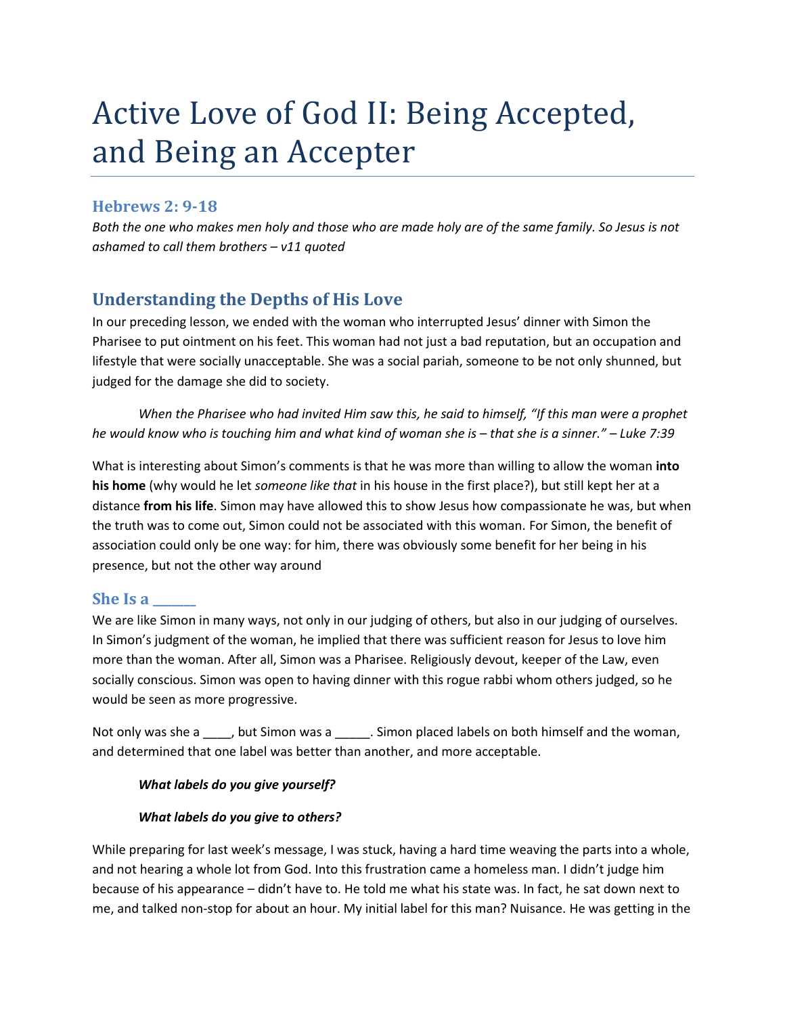# Active Love of God II: Being Accepted, and Being an Accepter

## **Hebrews 2: 9-18**

*Both the one who makes men holy and those who are made holy are of the same family. So Jesus is not ashamed to call them brothers – v11 quoted*

# **Understanding the Depths of His Love**

In our preceding lesson, we ended with the woman who interrupted Jesus' dinner with Simon the Pharisee to put ointment on his feet. This woman had not just a bad reputation, but an occupation and lifestyle that were socially unacceptable. She was a social pariah, someone to be not only shunned, but judged for the damage she did to society.

*When the Pharisee who had invited Him saw this, he said to himself, "If this man were a prophet he would know who is touching him and what kind of woman she is – that she is a sinner." – Luke 7:39*

What is interesting about Simon's comments is that he was more than willing to allow the woman **into his home** (why would he let *someone like that* in his house in the first place?), but still kept her at a distance **from his life**. Simon may have allowed this to show Jesus how compassionate he was, but when the truth was to come out, Simon could not be associated with this woman. For Simon, the benefit of association could only be one way: for him, there was obviously some benefit for her being in his presence, but not the other way around

#### **She Is a \_\_\_\_\_\_\_**

We are like Simon in many ways, not only in our judging of others, but also in our judging of ourselves. In Simon's judgment of the woman, he implied that there was sufficient reason for Jesus to love him more than the woman. After all, Simon was a Pharisee. Religiously devout, keeper of the Law, even socially conscious. Simon was open to having dinner with this rogue rabbi whom others judged, so he would be seen as more progressive.

Not only was she a \_\_\_\_, but Simon was a \_\_\_\_\_\_. Simon placed labels on both himself and the woman, and determined that one label was better than another, and more acceptable.

#### *What labels do you give yourself?*

#### *What labels do you give to others?*

While preparing for last week's message, I was stuck, having a hard time weaving the parts into a whole, and not hearing a whole lot from God. Into this frustration came a homeless man. I didn't judge him because of his appearance – didn't have to. He told me what his state was. In fact, he sat down next to me, and talked non-stop for about an hour. My initial label for this man? Nuisance. He was getting in the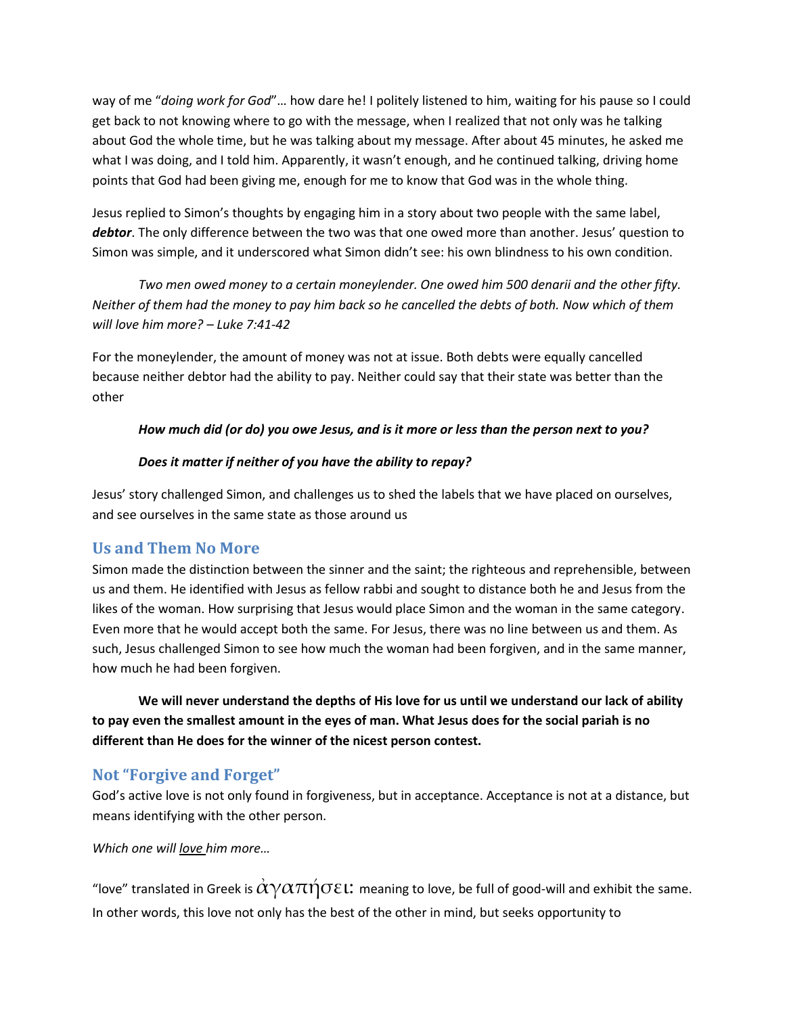way of me "*doing work for God*"… how dare he! I politely listened to him, waiting for his pause so I could get back to not knowing where to go with the message, when I realized that not only was he talking about God the whole time, but he was talking about my message. After about 45 minutes, he asked me what I was doing, and I told him. Apparently, it wasn't enough, and he continued talking, driving home points that God had been giving me, enough for me to know that God was in the whole thing.

Jesus replied to Simon's thoughts by engaging him in a story about two people with the same label, *debtor*. The only difference between the two was that one owed more than another. Jesus' question to Simon was simple, and it underscored what Simon didn't see: his own blindness to his own condition.

*Two men owed money to a certain moneylender. One owed him 500 denarii and the other fifty. Neither of them had the money to pay him back so he cancelled the debts of both. Now which of them will love him more? – Luke 7:41-42*

For the moneylender, the amount of money was not at issue. Both debts were equally cancelled because neither debtor had the ability to pay. Neither could say that their state was better than the other

#### *How much did (or do) you owe Jesus, and is it more or less than the person next to you?*

#### *Does it matter if neither of you have the ability to repay?*

Jesus' story challenged Simon, and challenges us to shed the labels that we have placed on ourselves, and see ourselves in the same state as those around us

## **Us and Them No More**

Simon made the distinction between the sinner and the saint; the righteous and reprehensible, between us and them. He identified with Jesus as fellow rabbi and sought to distance both he and Jesus from the likes of the woman. How surprising that Jesus would place Simon and the woman in the same category. Even more that he would accept both the same. For Jesus, there was no line between us and them. As such, Jesus challenged Simon to see how much the woman had been forgiven, and in the same manner, how much he had been forgiven.

**We will never understand the depths of His love for us until we understand our lack of ability to pay even the smallest amount in the eyes of man. What Jesus does for the social pariah is no different than He does for the winner of the nicest person contest.** 

## **Not "Forgive and Forget"**

God's active love is not only found in forgiveness, but in acceptance. Acceptance is not at a distance, but means identifying with the other person.

*Which one will love him more…*

"love" translated in Greek is  $\alpha\gamma\alpha\pi\eta\sigma\epsilon$ !: meaning to love, be full of good-will and exhibit the same. In other words, this love not only has the best of the other in mind, but seeks opportunity to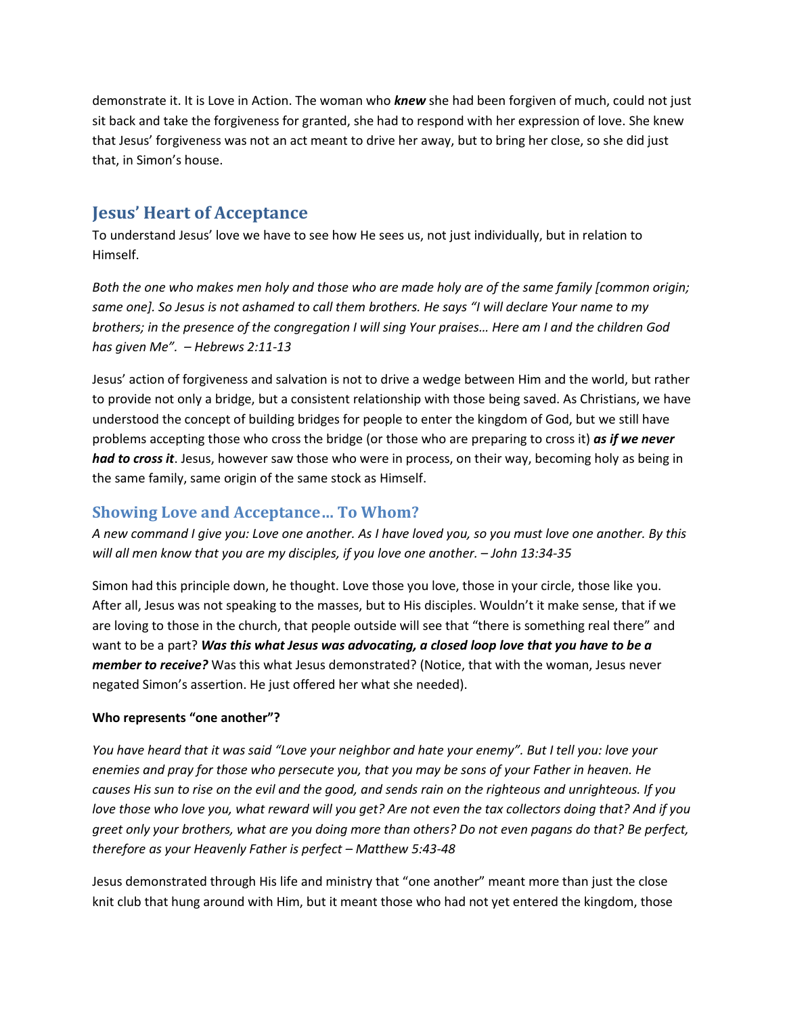demonstrate it. It is Love in Action. The woman who *knew* she had been forgiven of much, could not just sit back and take the forgiveness for granted, she had to respond with her expression of love. She knew that Jesus' forgiveness was not an act meant to drive her away, but to bring her close, so she did just that, in Simon's house.

# **Jesus' Heart of Acceptance**

To understand Jesus' love we have to see how He sees us, not just individually, but in relation to Himself.

*Both the one who makes men holy and those who are made holy are of the same family [common origin; same one]. So Jesus is not ashamed to call them brothers. He says "I will declare Your name to my brothers; in the presence of the congregation I will sing Your praises… Here am I and the children God has given Me". – Hebrews 2:11-13*

Jesus' action of forgiveness and salvation is not to drive a wedge between Him and the world, but rather to provide not only a bridge, but a consistent relationship with those being saved. As Christians, we have understood the concept of building bridges for people to enter the kingdom of God, but we still have problems accepting those who cross the bridge (or those who are preparing to cross it) *as if we never had to cross it*. Jesus, however saw those who were in process, on their way, becoming holy as being in the same family, same origin of the same stock as Himself.

## **Showing Love and Acceptance… To Whom?**

*A new command I give you: Love one another. As I have loved you, so you must love one another. By this will all men know that you are my disciples, if you love one another. – John 13:34-35*

Simon had this principle down, he thought. Love those you love, those in your circle, those like you. After all, Jesus was not speaking to the masses, but to His disciples. Wouldn't it make sense, that if we are loving to those in the church, that people outside will see that "there is something real there" and want to be a part? *Was this what Jesus was advocating, a closed loop love that you have to be a member to receive?* Was this what Jesus demonstrated? (Notice, that with the woman, Jesus never negated Simon's assertion. He just offered her what she needed).

#### **Who represents "one another"?**

*You have heard that it was said "Love your neighbor and hate your enemy". But I tell you: love your enemies and pray for those who persecute you, that you may be sons of your Father in heaven. He causes His sun to rise on the evil and the good, and sends rain on the righteous and unrighteous. If you love those who love you, what reward will you get? Are not even the tax collectors doing that? And if you greet only your brothers, what are you doing more than others? Do not even pagans do that? Be perfect, therefore as your Heavenly Father is perfect – Matthew 5:43-48*

Jesus demonstrated through His life and ministry that "one another" meant more than just the close knit club that hung around with Him, but it meant those who had not yet entered the kingdom, those